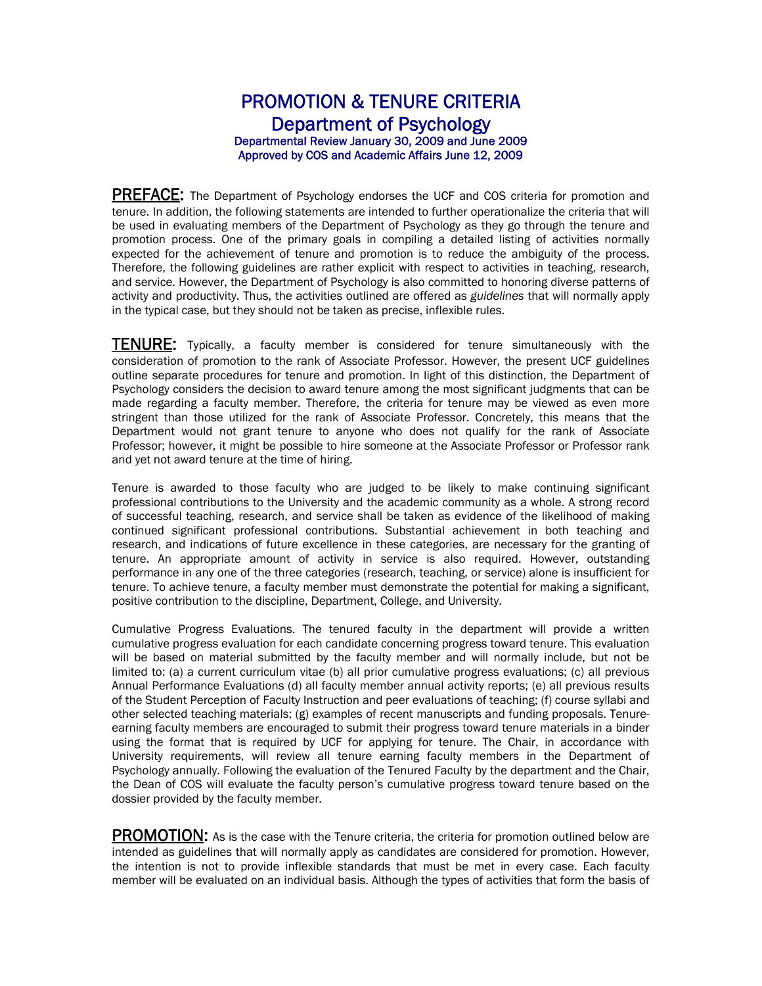### PROMOTION & TENURE CRITERIA Department of Psychology Departmental Review January 30, 2009 and June 2009 Approved by COS and Academic Affairs June 12, 2009

**PREFACE:** The Department of Psychology endorses the UCF and COS criteria for promotion and tenure. In addition, the following statements are intended to further operationalize the criteria that will be used in evaluating members of the Department of Psychology as they go through the tenure and promotion process. One of the primary goals in compiling a detailed listing of activities normally expected for the achievement of tenure and promotion is to reduce the ambiguity of the process. Therefore, the following guidelines are rather explicit with respect to activities in teaching, research, and service. However, the Department of Psychology is also committed to honoring diverse patterns of activity and productivity. Thus, the activities outlined are offered as *guidelines* that will normally apply in the typical case, but they should not be taken as precise, inflexible rules.

**TENURE:** Typically, a faculty member is considered for tenure simultaneously with the consideration of promotion to the rank of Associate Professor. However, the present UCF guidelines outline separate procedures for tenure and promotion. In light of this distinction, the Department of Psychology considers the decision to award tenure among the most significant judgments that can be made regarding a faculty member. Therefore, the criteria for tenure may be viewed as even more stringent than those utilized for the rank of Associate Professor. Concretely, this means that the Department would not grant tenure to anyone who does not qualify for the rank of Associate Professor; however, it might be possible to hire someone at the Associate Professor or Professor rank and yet not award tenure at the time of hiring.

Tenure is awarded to those faculty who are judged to be likely to make continuing significant professional contributions to the University and the academic community as a whole. A strong record of successful teaching, research, and service shall be taken as evidence of the likelihood of making continued significant professional contributions. Substantial achievement in both teaching and research, and indications of future excellence in these categories, are necessary for the granting of tenure. An appropriate amount of activity in service is also required. However, outstanding performance in any one of the three categories (research, teaching, or service) alone is insufficient for tenure. To achieve tenure, a faculty member must demonstrate the potential for making a significant, positive contribution to the discipline, Department, College, and University.

Cumulative Progress Evaluations. The tenured faculty in the department will provide a written cumulative progress evaluation for each candidate concerning progress toward tenure. This evaluation will be based on material submitted by the faculty member and will normally include, but not be limited to: (a) a current curriculum vitae (b) all prior cumulative progress evaluations; (c) all previous Annual Performance Evaluations (d) all faculty member annual activity reports; (e) all previous results of the Student Perception of Faculty Instruction and peer evaluations of teaching; (f) course syllabi and other selected teaching materials; (g) examples of recent manuscripts and funding proposals. Tenureearning faculty members are encouraged to submit their progress toward tenure materials in a binder using the format that is required by UCF for applying for tenure. The Chair, in accordance with University requirements, will review all tenure earning faculty members in the Department of Psychology annually. Following the evaluation of the Tenured Faculty by the department and the Chair, the Dean of COS will evaluate the faculty person's cumulative progress toward tenure based on the dossier provided by the faculty member.

PROMOTION: As is the case with the Tenure criteria, the criteria for promotion outlined below are intended as guidelines that will normally apply as candidates are considered for promotion. However, the intention is not to provide inflexible standards that must be met in every case. Each faculty member will be evaluated on an individual basis. Although the types of activities that form the basis of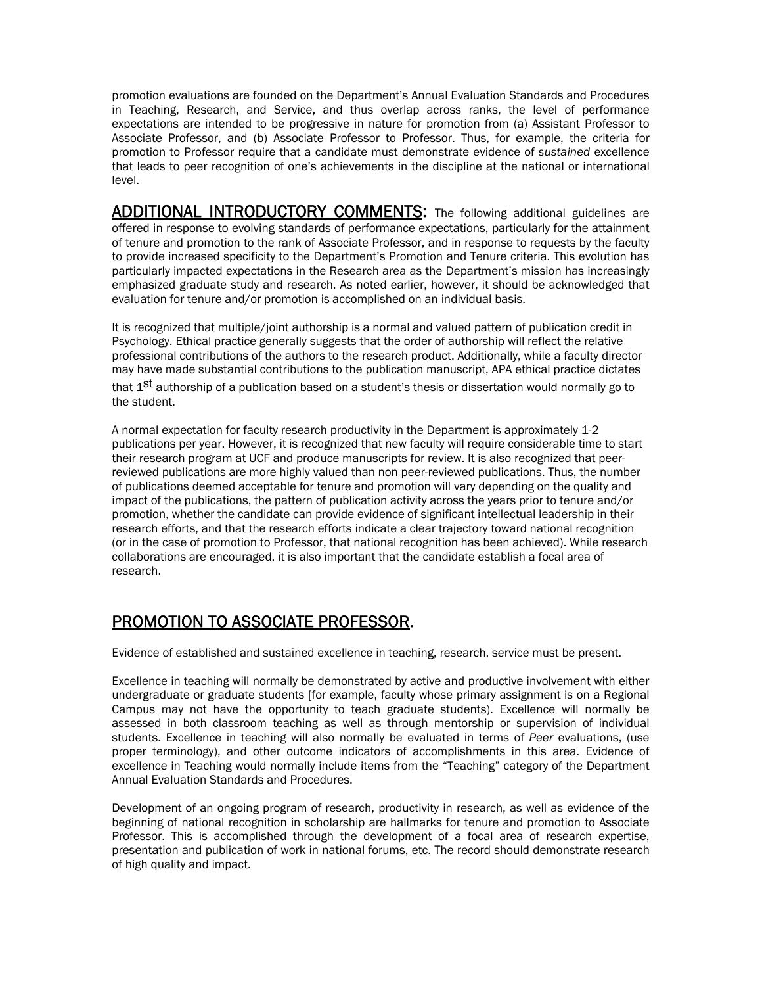promotion evaluations are founded on the Department's Annual Evaluation Standards and Procedures in Teaching, Research, and Service, and thus overlap across ranks, the level of performance expectations are intended to be progressive in nature for promotion from (a) Assistant Professor to Associate Professor, and (b) Associate Professor to Professor. Thus, for example, the criteria for promotion to Professor require that a candidate must demonstrate evidence of *sustained* excellence that leads to peer recognition of one's achievements in the discipline at the national or international level.

ADDITIONAL INTRODUCTORY COMMENTS: The following additional guidelines are offered in response to evolving standards of performance expectations, particularly for the attainment of tenure and promotion to the rank of Associate Professor, and in response to requests by the faculty to provide increased specificity to the Department's Promotion and Tenure criteria. This evolution has particularly impacted expectations in the Research area as the Department's mission has increasingly emphasized graduate study and research. As noted earlier, however, it should be acknowledged that evaluation for tenure and/or promotion is accomplished on an individual basis.

It is recognized that multiple/joint authorship is a normal and valued pattern of publication credit in Psychology. Ethical practice generally suggests that the order of authorship will reflect the relative professional contributions of the authors to the research product. Additionally, while a faculty director may have made substantial contributions to the publication manuscript, APA ethical practice dictates that 1<sup>St</sup> authorship of a publication based on a student's thesis or dissertation would normally go to the student.

A normal expectation for faculty research productivity in the Department is approximately 1-2 publications per year. However, it is recognized that new faculty will require considerable time to start their research program at UCF and produce manuscripts for review. It is also recognized that peerreviewed publications are more highly valued than non peer-reviewed publications. Thus, the number of publications deemed acceptable for tenure and promotion will vary depending on the quality and impact of the publications, the pattern of publication activity across the years prior to tenure and/or promotion, whether the candidate can provide evidence of significant intellectual leadership in their research efforts, and that the research efforts indicate a clear trajectory toward national recognition (or in the case of promotion to Professor, that national recognition has been achieved). While research collaborations are encouraged, it is also important that the candidate establish a focal area of research.

## PROMOTION TO ASSOCIATE PROFESSOR.

Evidence of established and sustained excellence in teaching, research, service must be present.

Excellence in teaching will normally be demonstrated by active and productive involvement with either undergraduate or graduate students [for example, faculty whose primary assignment is on a Regional Campus may not have the opportunity to teach graduate students). Excellence will normally be assessed in both classroom teaching as well as through mentorship or supervision of individual students. Excellence in teaching will also normally be evaluated in terms of *Peer* evaluations, (use proper terminology), and other outcome indicators of accomplishments in this area. Evidence of excellence in Teaching would normally include items from the "Teaching" category of the Department Annual Evaluation Standards and Procedures.

Development of an ongoing program of research, productivity in research, as well as evidence of the beginning of national recognition in scholarship are hallmarks for tenure and promotion to Associate Professor. This is accomplished through the development of a focal area of research expertise, presentation and publication of work in national forums, etc. The record should demonstrate research of high quality and impact.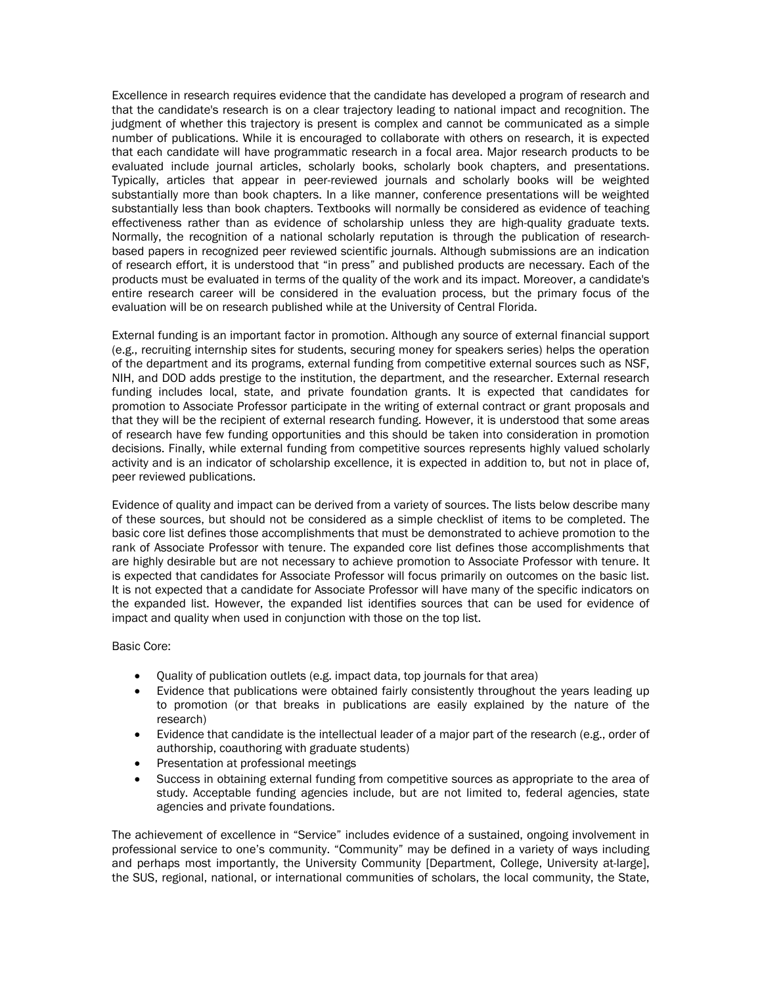Excellence in research requires evidence that the candidate has developed a program of research and that the candidate's research is on a clear trajectory leading to national impact and recognition. The judgment of whether this trajectory is present is complex and cannot be communicated as a simple number of publications. While it is encouraged to collaborate with others on research, it is expected that each candidate will have programmatic research in a focal area. Major research products to be evaluated include journal articles, scholarly books, scholarly book chapters, and presentations. Typically, articles that appear in peer-reviewed journals and scholarly books will be weighted substantially more than book chapters. In a like manner, conference presentations will be weighted substantially less than book chapters. Textbooks will normally be considered as evidence of teaching effectiveness rather than as evidence of scholarship unless they are high-quality graduate texts. Normally, the recognition of a national scholarly reputation is through the publication of researchbased papers in recognized peer reviewed scientific journals. Although submissions are an indication of research effort, it is understood that "in press" and published products are necessary. Each of the products must be evaluated in terms of the quality of the work and its impact. Moreover, a candidate's entire research career will be considered in the evaluation process, but the primary focus of the evaluation will be on research published while at the University of Central Florida.

External funding is an important factor in promotion. Although any source of external financial support (e.g., recruiting internship sites for students, securing money for speakers series) helps the operation of the department and its programs, external funding from competitive external sources such as NSF, NIH, and DOD adds prestige to the institution, the department, and the researcher. External research funding includes local, state, and private foundation grants. It is expected that candidates for promotion to Associate Professor participate in the writing of external contract or grant proposals and that they will be the recipient of external research funding. However, it is understood that some areas of research have few funding opportunities and this should be taken into consideration in promotion decisions. Finally, while external funding from competitive sources represents highly valued scholarly activity and is an indicator of scholarship excellence, it is expected in addition to, but not in place of, peer reviewed publications.

Evidence of quality and impact can be derived from a variety of sources. The lists below describe many of these sources, but should not be considered as a simple checklist of items to be completed. The basic core list defines those accomplishments that must be demonstrated to achieve promotion to the rank of Associate Professor with tenure. The expanded core list defines those accomplishments that are highly desirable but are not necessary to achieve promotion to Associate Professor with tenure. It is expected that candidates for Associate Professor will focus primarily on outcomes on the basic list. It is not expected that a candidate for Associate Professor will have many of the specific indicators on the expanded list. However, the expanded list identifies sources that can be used for evidence of impact and quality when used in conjunction with those on the top list.

#### Basic Core:

- Quality of publication outlets (e.g. impact data, top journals for that area)
- Evidence that publications were obtained fairly consistently throughout the years leading up to promotion (or that breaks in publications are easily explained by the nature of the research)
- Evidence that candidate is the intellectual leader of a major part of the research (e.g., order of authorship, coauthoring with graduate students)
- Presentation at professional meetings
- Success in obtaining external funding from competitive sources as appropriate to the area of study. Acceptable funding agencies include, but are not limited to, federal agencies, state agencies and private foundations.

The achievement of excellence in "Service" includes evidence of a sustained, ongoing involvement in professional service to one's community. "Community" may be defined in a variety of ways including and perhaps most importantly, the University Community [Department, College, University at-large], the SUS, regional, national, or international communities of scholars, the local community, the State,